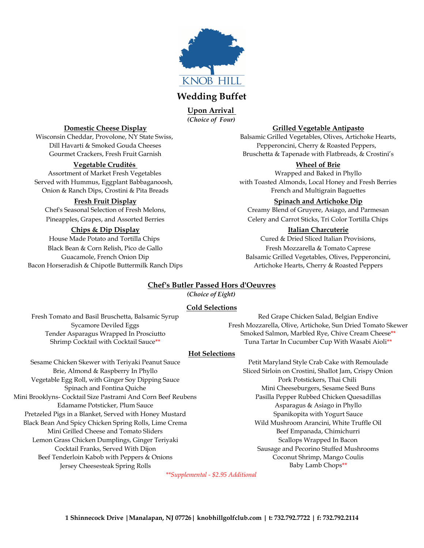

# **Wedding Buffet**

*(Choice of Four)* **Upon Arrival** 

### **Vegetable Crudités Wheel of Brie**

Assortment of Market Fresh Vegetables Number of Market Tresh Vegetables Wrapped and Baked in Phyllo Onion & Ranch Dips, Crostini & Pita Breads French and Multigrain Baguettes

#### **Chips & Dip Display Italian Charcuterie**

Black Bean & Corn Relish, Pico de Gallo **Fresh Mozzarella & Tomato Caprese** Fresh Mozzarella & Tomato Caprese Bacon Horseradish & Chipotle Buttermilk Ranch Dips **Artichoke Hearts, Cherry & Roasted Peppers** 

#### **Domestic Cheese Display Grilled Vegetable Antipasto**

Wisconsin Cheddar, Provolone, NY State Swiss, Balsamic Grilled Vegetables, Olives, Artichoke Hearts, Dill Havarti & Smoked Gouda Cheeses Pepperoncini, Cherry & Roasted Peppers, Gourmet Crackers, Fresh Fruit Garnish Bruschetta & Tapenade with Flatbreads, & Crostini's

Served with Hummus, Eggplant Babbaganoosh, with Toasted Almonds, Local Honey and Fresh Berries

#### **Fresh Fruit Display Spinach and Artichoke Dip**

Chef's Seasonal Selection of Fresh Melons, Creamy Blend of Gruyere, Asiago, and Parmesan Pineapples, Grapes, and Assorted Berries **Celery and Carrot Sticks**, Tri Color Tortilla Chips

House Made Potato and Tortilla Chips Cured & Dried Sliced Italian Provisions, Guacamole, French Onion Dip Balsamic Grilled Vegetables, Olives, Pepperoncini,

## **Chef's Butler Passed Hors d'Oeuvres**

*(Choice of Eight)*

#### **Cold Selections**

Fresh Tomato and Basil Bruschetta, Balsamic Syrup Red Grape Chicken Salad, Belgian Endive Sycamore Deviled Eggs Fresh Mozzarella, Olive, Artichoke, Sun Dried Tomato Skewer Tender Asparagus Wrapped In Prosciutto Smoked Salmon, Marbled Rye, Chive Cream Cheese\*\*<br>Shrimp Cocktail with Cocktail Sauce\*\* Tuna Tartar In Cucumber Cup With Wasabi Aioli\*\* Tuna Tartar In Cucumber Cup With Wasabi Aioli\*\*

## **Hot Selections**

Sesame Chicken Skewer with Teriyaki Peanut Sauce Petit Maryland Style Crab Cake with Remoulade Vegetable Egg Roll, with Ginger Soy Dipping Sauce Pork Pork Pork Potstickers, Thai Chili Mini Brooklyns- Cocktail Size Pastrami And Corn Beef Reubens Pasilla Pepper Rubbed Chicken Quesadillas Edamame Potsticker, Plum Sauce **Asparagus & Asiago in Phyllo** Asparagus & Asiago in Phyllo Pretzeled Pigs in a Blanket, Served with Honey Mustard Spanikopita with Yogurt Sauce Black Bean And Spicy Chicken Spring Rolls, Lime Crema Wild Mushroom Arancini, White Truffle Oil Mini Grilled Cheese and Tomato Sliders Beef Empanada, Chimichurri Lemon Grass Chicken Dumplings, Ginger Teriyaki Scallops Wrapped In Bacon Cocktail Franks, Served With Dijon Sausage and Pecorino Stuffed Mushrooms Beef Tenderloin Kabob with Peppers & Onions Coconut Shrimp, Mango Coulis Jersey Cheesesteak Spring Rolls **Baby Lamb Chops**\*\*

Brie, Almond & Raspberry In Phyllo Sliced Sirloin on Crostini, Shallot Jam, Crispy Onion Spinach and Fontina Quiche Mini Cheeseburgers, Sesame Seed Buns

*\*\*Supplemental - \$2.95 Additional*